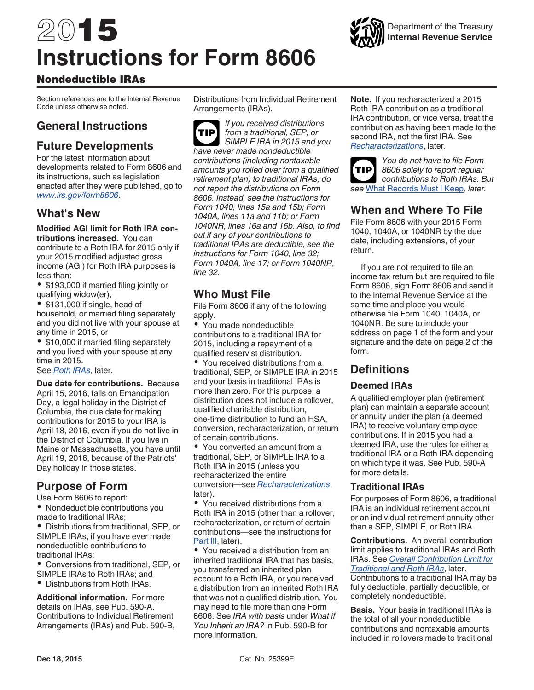# 2015 **Instructions for Form 8606**



## Nondeductible IRAs

Section references are to the Internal Revenue Code unless otherwise noted.

## **General Instructions**

## **Future Developments**

For the latest information about developments related to Form 8606 and its instructions, such as legislation enacted after they were published, go to *[www.irs.gov/form8606](http://www.irs.gov/uac/Form-8606,-Nondeductible-IRAs)*.

## **What's New**

**Modified AGI limit for Roth IRA contributions increased.** You can contribute to a Roth IRA for 2015 only if your 2015 modified adjusted gross income (AGI) for Roth IRA purposes is less than:

\$193,000 if married filing jointly or qualifying widow(er),

\$131,000 if single, head of household, or married filing separately and you did not live with your spouse at any time in 2015, or

• \$10,000 if married filing separately and you lived with your spouse at any time in 2015.

See *[Roth IRAs](#page-1-0)*, later.

**Due date for contributions.** Because April 15, 2016, falls on Emancipation Day, a legal holiday in the District of Columbia, the due date for making contributions for 2015 to your IRA is April 18, 2016, even if you do not live in the District of Columbia. If you live in Maine or Massachusetts, you have until April 19, 2016, because of the Patriots' Day holiday in those states.

## **Purpose of Form**

Use Form 8606 to report:

Nondeductible contributions you made to traditional IRAs;

Distributions from traditional, SEP, or SIMPLE IRAs, if you have ever made nondeductible contributions to traditional IRAs;

Conversions from traditional, SEP, or SIMPLE IRAs to Roth IRAs; and

Distributions from Roth IRAs.

**Additional information.** For more details on IRAs, see Pub. 590-A, Contributions to Individual Retirement Arrangements (IRAs) and Pub. 590-B, Distributions from Individual Retirement Arrangements (IRAs).

*If you received distributions from a traditional, SEP, or SIMPLE IRA in 2015 and you have never made nondeductible contributions (including nontaxable amounts you rolled over from a qualified retirement plan) to traditional IRAs, do not report the distributions on Form 8606. Instead, see the instructions for Form 1040, lines 15a and 15b; Form 1040A, lines 11a and 11b; or Form 1040NR, lines 16a and 16b. Also, to find out if any of your contributions to traditional IRAs are deductible, see the instructions for Form 1040, line 32; Form 1040A, line 17; or Form 1040NR, line 32.* **TIP**

## **Who Must File**

File Form 8606 if any of the following apply.

• You made nondeductible contributions to a traditional IRA for 2015, including a repayment of a qualified reservist distribution.

You received distributions from a traditional, SEP, or SIMPLE IRA in 2015 and your basis in traditional IRAs is more than zero. For this purpose, a distribution does not include a rollover, qualified charitable distribution, one-time distribution to fund an HSA, conversion, recharacterization, or return of certain contributions.

You converted an amount from a traditional, SEP, or SIMPLE IRA to a Roth IRA in 2015 (unless you recharacterized the entire conversion—see *[Recharacterizations](#page-2-0)*, later).

You received distributions from a Roth IRA in 2015 (other than a rollover, recharacterization, or return of certain contributions—see the instructions for [Part III,](#page-7-0) later).

You received a distribution from an inherited traditional IRA that has basis, you transferred an inherited plan account to a Roth IRA, or you received a distribution from an inherited Roth IRA that was not a qualified distribution. You may need to file more than one Form 8606. See *IRA with basis* under *What if You Inherit an IRA?* in Pub. 590-B for more information.

**Note.** If you recharacterized a 2015 Roth IRA contribution as a traditional IRA contribution, or vice versa, treat the contribution as having been made to the second IRA, not the first IRA. See *[Recharacterizations](#page-2-0)*, later.



*You do not have to file Form 8606 solely to report regular contributions to Roth IRAs. But see* [What Records Must I Keep](#page-5-0)*, later.*

## **When and Where To File**

File Form 8606 with your 2015 Form 1040, 1040A, or 1040NR by the due date, including extensions, of your return.

If you are not required to file an income tax return but are required to file Form 8606, sign Form 8606 and send it to the Internal Revenue Service at the same time and place you would otherwise file Form 1040, 1040A, or 1040NR. Be sure to include your address on page 1 of the form and your signature and the date on page 2 of the form.

## **Definitions**

#### **Deemed IRAs**

A qualified employer plan (retirement plan) can maintain a separate account or annuity under the plan (a deemed IRA) to receive voluntary employee contributions. If in 2015 you had a deemed IRA, use the rules for either a traditional IRA or a Roth IRA depending on which type it was. See Pub. 590-A for more details.

#### **Traditional IRAs**

For purposes of Form 8606, a traditional IRA is an individual retirement account or an individual retirement annuity other than a SEP, SIMPLE, or Roth IRA.

**Contributions.** An overall contribution limit applies to traditional IRAs and Roth IRAs. See *[Overall Contribution Limit for](#page-1-0) [Traditional and Roth IRAs](#page-1-0)*, later.

Contributions to a traditional IRA may be fully deductible, partially deductible, or completely nondeductible.

**Basis.** Your basis in traditional IRAs is the total of all your nondeductible contributions and nontaxable amounts included in rollovers made to traditional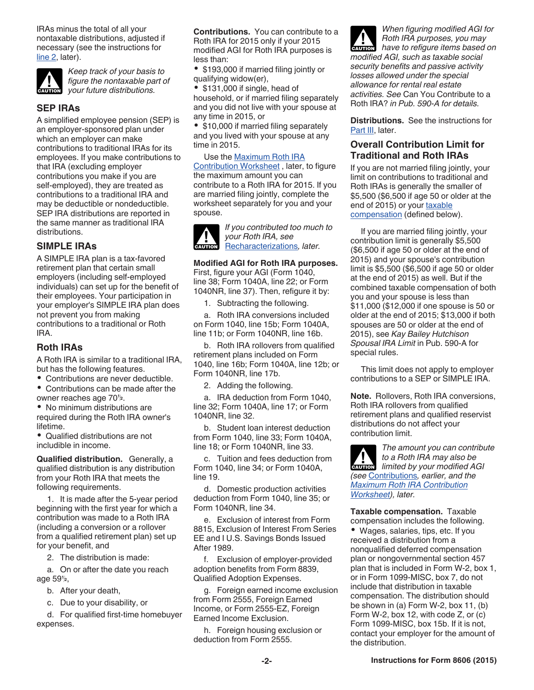<span id="page-1-0"></span>IRAs minus the total of all your nontaxable distributions, adjusted if necessary (see the instructions for [line 2](#page-5-0), later).



*Keep track of your basis to figure the nontaxable part of x figure the nontaxable pa*<br> *your future distributions.* 

## **SEP IRAs**

A simplified employee pension (SEP) is an employer-sponsored plan under which an employer can make contributions to traditional IRAs for its employees. If you make contributions to that IRA (excluding employer contributions you make if you are self-employed), they are treated as contributions to a traditional IRA and may be deductible or nondeductible. SEP IRA distributions are reported in the same manner as traditional IRA distributions.

#### **SIMPLE IRAs**

A SIMPLE IRA plan is a tax-favored retirement plan that certain small employers (including self-employed individuals) can set up for the benefit of their employees. Your participation in your employer's SIMPLE IRA plan does not prevent you from making contributions to a traditional or Roth IRA.

#### **Roth IRAs**

A Roth IRA is similar to a traditional IRA, but has the following features.

Contributions are never deductible.

Contributions can be made after the owner reaches age 70<sup>1</sup>/<sub>2</sub>.

No minimum distributions are required during the Roth IRA owner's lifetime.

Qualified distributions are not includible in income.

**Qualified distribution.** Generally, a qualified distribution is any distribution from your Roth IRA that meets the following requirements.

1. It is made after the 5-year period beginning with the first year for which a contribution was made to a Roth IRA (including a conversion or a rollover from a qualified retirement plan) set up for your benefit, and

2. The distribution is made:

a. On or after the date you reach age 59<sup> $1/2$ </sup>,

- b. After your death,
- c. Due to your disability, or

d. For qualified first-time homebuyer expenses.

**Contributions.** You can contribute to a Roth IRA for 2015 only if your 2015 modified AGI for Roth IRA purposes is less than:

\$193,000 if married filing jointly or qualifying widow(er),

 $\bullet$ \$131,000 if single, head of household, or if married filing separately and you did not live with your spouse at any time in 2015, or

• \$10,000 if married filing separately and you lived with your spouse at any time in 2015.

#### Use the **Maximum Roth IRA**

[Contribution Worksheet](#page-2-0) , later, to figure the maximum amount you can contribute to a Roth IRA for 2015. If you are married filing jointly, complete the worksheet separately for you and your spouse.



**Modified AGI for Roth IRA purposes.**  First, figure your AGI (Form 1040, line 38; Form 1040A, line 22; or Form 1040NR, line 37). Then, refigure it by:

1. Subtracting the following.

a. Roth IRA conversions included on Form 1040, line 15b; Form 1040A, line 11b; or Form 1040NR, line 16b.

b. Roth IRA rollovers from qualified retirement plans included on Form 1040, line 16b; Form 1040A, line 12b; or Form 1040NR, line 17b.

2. Adding the following.

a. IRA deduction from Form 1040, line 32; Form 1040A, line 17; or Form 1040NR, line 32.

b. Student loan interest deduction from Form 1040, line 33; Form 1040A, line 18; or Form 1040NR, line 33.

c. Tuition and fees deduction from Form 1040, line 34; or Form 1040A, line 19.

d. Domestic production activities deduction from Form 1040, line 35; or Form 1040NR, line 34.

e. Exclusion of interest from Form 8815, Exclusion of Interest From Series EE and I U.S. Savings Bonds Issued After 1989.

f. Exclusion of employer-provided adoption benefits from Form 8839, Qualified Adoption Expenses.

g. Foreign earned income exclusion from Form 2555, Foreign Earned Income, or Form 2555-EZ, Foreign Earned Income Exclusion.

h. Foreign housing exclusion or deduction from Form 2555.

*When figuring modified AGI for Roth IRA purposes, you may*  **have to refigure items based on** *modified AGI, such as taxable social security benefits and passive activity losses allowed under the special allowance for rental real estate activities. See* Can You Contribute to a Roth IRA? *in Pub. 590-A for details.*

**Distributions.** See the instructions for [Part III,](#page-7-0) later.

#### **Overall Contribution Limit for Traditional and Roth IRAs**

If you are not married filing jointly, your limit on contributions to traditional and Roth IRAs is generally the smaller of \$5,500 (\$6,500 if age 50 or older at the end of 2015) or your taxable compensation (defined below).

If you are married filing jointly, your contribution limit is generally \$5,500 (\$6,500 if age 50 or older at the end of 2015) and your spouse's contribution limit is \$5,500 (\$6,500 if age 50 or older at the end of 2015) as well. But if the combined taxable compensation of both you and your spouse is less than \$11,000 (\$12,000 if one spouse is 50 or older at the end of 2015; \$13,000 if both spouses are 50 or older at the end of 2015), see *Kay Bailey Hutchison Spousal IRA Limit* in Pub. 590-A for special rules.

This limit does not apply to employer contributions to a SEP or SIMPLE IRA.

owner reaches age 70½. **A construent of the Audiometer of the Audiometer of Audiometer Audiometer and Text all Note.** Rollovers, Roth IRA conversions, Roth IRA rollovers from qualified retirement plans and qualified reservist distributions do not affect your contribution limit.

> *The amount you can contribute to a Roth IRA may also be limited by your modified AGI limited by your modified AGI (see* Contributions*, earlier, and the [Maximum Roth IRA Contribution](#page-2-0)  [Worksheet](#page-2-0)), later.*

**Taxable compensation.** Taxable compensation includes the following.

age 59½, Qualified Adoption Expenses. or in Form 1099-MISC, box 7, do not Wages, salaries, tips, etc. If you received a distribution from a nonqualified deferred compensation plan or nongovernmental section 457 plan that is included in Form W-2, box 1, or in Form 1099-MISC, box 7, do not include that distribution in taxable compensation. The distribution should be shown in (a) Form W-2, box 11, (b) Form W-2, box 12, with code Z, or (c) Form 1099-MISC, box 15b. If it is not, contact your employer for the amount of the distribution.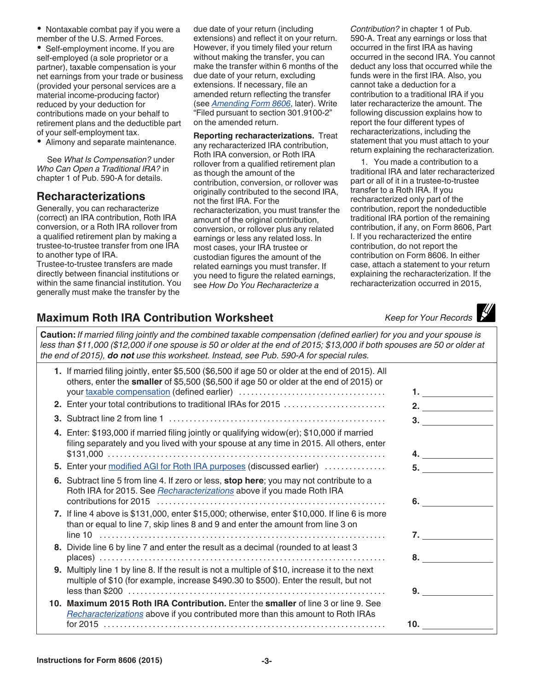<span id="page-2-0"></span>• Nontaxable combat pay if you were a member of the U.S. Armed Forces.

Self-employment income. If you are self-employed (a sole proprietor or a partner), taxable compensation is your net earnings from your trade or business (provided your personal services are a material income-producing factor) reduced by your deduction for contributions made on your behalf to retirement plans and the deductible part of your self-employment tax.

Alimony and separate maintenance.

See *What Is Compensation?* under *Who Can Open a Traditional IRA?* in chapter 1 of Pub. 590-A for details.

## **Recharacterizations**

Generally, you can recharacterize (correct) an IRA contribution, Roth IRA conversion, or a Roth IRA rollover from a qualified retirement plan by making a trustee-to-trustee transfer from one IRA to another type of IRA.

Trustee-to-trustee transfers are made directly between financial institutions or within the same financial institution. You generally must make the transfer by the

due date of your return (including extensions) and reflect it on your return. However, if you timely filed your return without making the transfer, you can make the transfer within 6 months of the due date of your return, excluding extensions. If necessary, file an amended return reflecting the transfer (see *[Amending Form 8606](#page-5-0)*, later). Write "Filed pursuant to section 301.9100-2" on the amended return.

**Reporting recharacterizations.** Treat any recharacterized IRA contribution, Roth IRA conversion, or Roth IRA rollover from a qualified retirement plan as though the amount of the contribution, conversion, or rollover was originally contributed to the second IRA, not the first IRA. For the recharacterization, you must transfer the amount of the original contribution, conversion, or rollover plus any related earnings or less any related loss. In most cases, your IRA trustee or custodian figures the amount of the related earnings you must transfer. If you need to figure the related earnings, see *How Do You Recharacterize a* 

*Contribution?* in chapter 1 of Pub. 590-A. Treat any earnings or loss that occurred in the first IRA as having occurred in the second IRA. You cannot deduct any loss that occurred while the funds were in the first IRA. Also, you cannot take a deduction for a contribution to a traditional IRA if you later recharacterize the amount. The following discussion explains how to report the four different types of recharacterizations, including the statement that you must attach to your return explaining the recharacterization.

1. You made a contribution to a traditional IRA and later recharacterized part or all of it in a trustee-to-trustee transfer to a Roth IRA. If you recharacterized only part of the contribution, report the nondeductible traditional IRA portion of the remaining contribution, if any, on Form 8606, Part I. If you recharacterized the entire contribution, do not report the contribution on Form 8606. In either case, attach a statement to your return explaining the recharacterization. If the recharacterization occurred in 2015,

## **Maximum Roth IRA Contribution Worksheet** *Keep for Your Records*

**Caution:** *If married filing jointly and the combined taxable compensation (defined earlier) for you and your spouse is less than \$11,000 (\$12,000 if one spouse is 50 or older at the end of 2015; \$13,000 if both spouses are 50 or older at the end of 2015), do not use this worksheet. Instead, see Pub. 590-A for special rules.*

| 1. If married filing jointly, enter \$5,500 (\$6,500 if age 50 or older at the end of 2015). All<br>others, enter the smaller of \$5,500 (\$6,500 if age 50 or older at the end of 2015) or |                    |
|---------------------------------------------------------------------------------------------------------------------------------------------------------------------------------------------|--------------------|
| 2. Enter your total contributions to traditional IRAs for 2015                                                                                                                              | 2. $\qquad \qquad$ |
|                                                                                                                                                                                             | 3.                 |
| 4. Enter: \$193,000 if married filing jointly or qualifying widow(er); \$10,000 if married<br>filing separately and you lived with your spouse at any time in 2015. All others, enter       |                    |
| 5. Enter your modified AGI for Roth IRA purposes (discussed earlier)                                                                                                                        | 5.                 |
| 6. Subtract line 5 from line 4. If zero or less, stop here; you may not contribute to a<br>Roth IRA for 2015. See <i>Recharacterizations</i> above if you made Roth IRA                     |                    |
| 7. If line 4 above is \$131,000, enter \$15,000; otherwise, enter \$10,000. If line 6 is more<br>than or equal to line 7, skip lines 8 and 9 and enter the amount from line 3 on            |                    |
| 8. Divide line 6 by line 7 and enter the result as a decimal (rounded to at least 3                                                                                                         |                    |
| 9. Multiply line 1 by line 8. If the result is not a multiple of \$10, increase it to the next<br>multiple of \$10 (for example, increase \$490.30 to \$500). Enter the result, but not     | 9.                 |
| 10. Maximum 2015 Roth IRA Contribution. Enter the smaller of line 3 or line 9. See<br>Recharacterizations above if you contributed more than this amount to Roth IRAs                       | 10.                |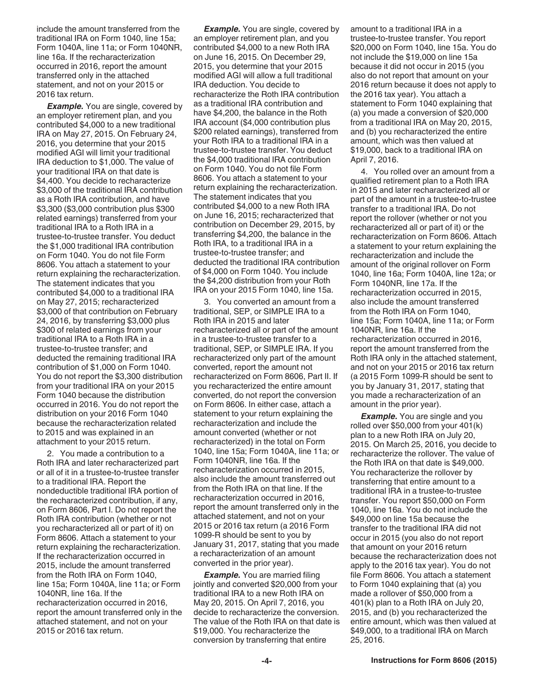include the amount transferred from the traditional IRA on Form 1040, line 15a; Form 1040A, line 11a; or Form 1040NR, line 16a. If the recharacterization occurred in 2016, report the amount transferred only in the attached statement, and not on your 2015 or 2016 tax return.

*Example.* You are single, covered by an employer retirement plan, and you contributed \$4,000 to a new traditional IRA on May 27, 2015. On February 24, 2016, you determine that your 2015 modified AGI will limit your traditional IRA deduction to \$1,000. The value of your traditional IRA on that date is \$4,400. You decide to recharacterize \$3,000 of the traditional IRA contribution as a Roth IRA contribution, and have \$3,300 (\$3,000 contribution plus \$300 related earnings) transferred from your traditional IRA to a Roth IRA in a trustee-to-trustee transfer. You deduct the \$1,000 traditional IRA contribution on Form 1040. You do not file Form 8606. You attach a statement to your return explaining the recharacterization. The statement indicates that you contributed \$4,000 to a traditional IRA on May 27, 2015; recharacterized \$3,000 of that contribution on February 24, 2016, by transferring \$3,000 plus \$300 of related earnings from your traditional IRA to a Roth IRA in a trustee-to-trustee transfer; and deducted the remaining traditional IRA contribution of \$1,000 on Form 1040. You do not report the \$3,300 distribution from your traditional IRA on your 2015 Form 1040 because the distribution occurred in 2016. You do not report the distribution on your 2016 Form 1040 because the recharacterization related to 2015 and was explained in an attachment to your 2015 return.

2. You made a contribution to a Roth IRA and later recharacterized part or all of it in a trustee-to-trustee transfer to a traditional IRA. Report the nondeductible traditional IRA portion of the recharacterized contribution, if any, on Form 8606, Part I. Do not report the Roth IRA contribution (whether or not you recharacterized all or part of it) on Form 8606. Attach a statement to your return explaining the recharacterization. If the recharacterization occurred in 2015, include the amount transferred from the Roth IRA on Form 1040, line 15a; Form 1040A, line 11a; or Form 1040NR, line 16a. If the recharacterization occurred in 2016, report the amount transferred only in the attached statement, and not on your 2015 or 2016 tax return.

**Example.** You are single, covered by an employer retirement plan, and you contributed \$4,000 to a new Roth IRA on June 16, 2015. On December 29, 2015, you determine that your 2015 modified AGI will allow a full traditional IRA deduction. You decide to recharacterize the Roth IRA contribution as a traditional IRA contribution and have \$4,200, the balance in the Roth IRA account (\$4,000 contribution plus \$200 related earnings), transferred from your Roth IRA to a traditional IRA in a trustee-to-trustee transfer. You deduct the \$4,000 traditional IRA contribution on Form 1040. You do not file Form 8606. You attach a statement to your return explaining the recharacterization. The statement indicates that you contributed \$4,000 to a new Roth IRA on June 16, 2015; recharacterized that contribution on December 29, 2015, by transferring \$4,200, the balance in the Roth IRA, to a traditional IRA in a trustee-to-trustee transfer; and deducted the traditional IRA contribution of \$4,000 on Form 1040. You include the \$4,200 distribution from your Roth IRA on your 2015 Form 1040, line 15a.

3. You converted an amount from a traditional, SEP, or SIMPLE IRA to a Roth IRA in 2015 and later recharacterized all or part of the amount in a trustee-to-trustee transfer to a traditional, SEP, or SIMPLE IRA. If you recharacterized only part of the amount converted, report the amount not recharacterized on Form 8606, Part II. If you recharacterized the entire amount converted, do not report the conversion on Form 8606. In either case, attach a statement to your return explaining the recharacterization and include the amount converted (whether or not recharacterized) in the total on Form 1040, line 15a; Form 1040A, line 11a; or Form 1040NR, line 16a. If the recharacterization occurred in 2015, also include the amount transferred out from the Roth IRA on that line. If the recharacterization occurred in 2016, report the amount transferred only in the attached statement, and not on your 2015 or 2016 tax return (a 2016 Form 1099-R should be sent to you by January 31, 2017, stating that you made a recharacterization of an amount converted in the prior year).

**Example.** You are married filing jointly and converted \$20,000 from your traditional IRA to a new Roth IRA on May 20, 2015. On April 7, 2016, you decide to recharacterize the conversion. The value of the Roth IRA on that date is \$19,000. You recharacterize the conversion by transferring that entire

amount to a traditional IRA in a trustee-to-trustee transfer. You report \$20,000 on Form 1040, line 15a. You do not include the \$19,000 on line 15a because it did not occur in 2015 (you also do not report that amount on your 2016 return because it does not apply to the 2016 tax year). You attach a statement to Form 1040 explaining that (a) you made a conversion of \$20,000 from a traditional IRA on May 20, 2015, and (b) you recharacterized the entire amount, which was then valued at \$19,000, back to a traditional IRA on April 7, 2016.

4. You rolled over an amount from a qualified retirement plan to a Roth IRA in 2015 and later recharacterized all or part of the amount in a trustee-to-trustee transfer to a traditional IRA. Do not report the rollover (whether or not you recharacterized all or part of it) or the recharacterization on Form 8606. Attach a statement to your return explaining the recharacterization and include the amount of the original rollover on Form 1040, line 16a; Form 1040A, line 12a; or Form 1040NR, line 17a. If the recharacterization occurred in 2015, also include the amount transferred from the Roth IRA on Form 1040, line 15a; Form 1040A, line 11a; or Form 1040NR, line 16a. If the recharacterization occurred in 2016, report the amount transferred from the Roth IRA only in the attached statement, and not on your 2015 or 2016 tax return (a 2015 Form 1099-R should be sent to you by January 31, 2017, stating that you made a recharacterization of an amount in the prior year).

**Example.** You are single and you rolled over \$50,000 from your 401(k) plan to a new Roth IRA on July 20, 2015. On March 25, 2016, you decide to recharacterize the rollover. The value of the Roth IRA on that date is \$49,000. You recharacterize the rollover by transferring that entire amount to a traditional IRA in a trustee-to-trustee transfer. You report \$50,000 on Form 1040, line 16a. You do not include the \$49,000 on line 15a because the transfer to the traditional IRA did not occur in 2015 (you also do not report that amount on your 2016 return because the recharacterization does not apply to the 2016 tax year). You do not file Form 8606. You attach a statement to Form 1040 explaining that (a) you made a rollover of \$50,000 from a 401(k) plan to a Roth IRA on July 20, 2015, and (b) you recharacterized the entire amount, which was then valued at \$49,000, to a traditional IRA on March 25, 2016.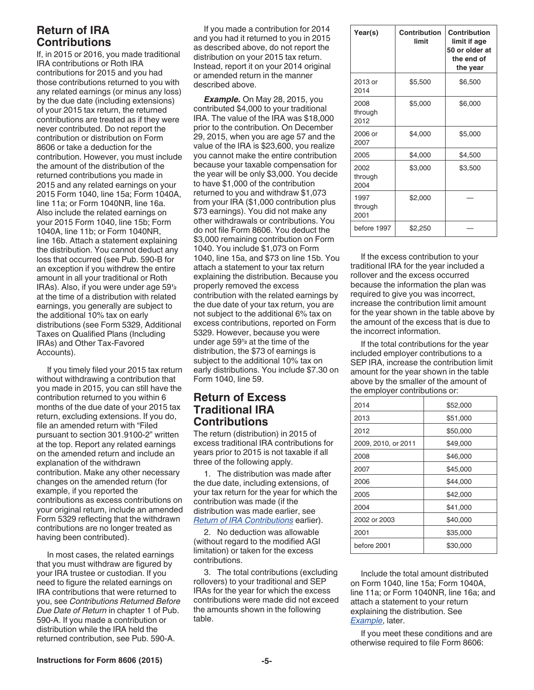## <span id="page-4-0"></span>**Return of IRA Contributions**

If, in 2015 or 2016, you made traditional IRA contributions or Roth IRA contributions for 2015 and you had those contributions returned to you with any related earnings (or minus any loss) by the due date (including extensions) of your 2015 tax return, the returned contributions are treated as if they were never contributed. Do not report the contribution or distribution on Form 8606 or take a deduction for the contribution. However, you must include the amount of the distribution of the returned contributions you made in 2015 and any related earnings on your 2015 Form 1040, line 15a; Form 1040A, line 11a; or Form 1040NR, line 16a. Also include the related earnings on your 2015 Form 1040, line 15b; Form 1040A, line 11b; or Form 1040NR, line 16b. Attach a statement explaining the distribution. You cannot deduct any loss that occurred (see Pub. 590-B for an exception if you withdrew the entire amount in all your traditional or Roth IRAs). Also, if you were under age 59**<sup>1</sup>** at the time of a distribution with related earnings, you generally are subject to the additional 10% tax on early distributions (see Form 5329, Additional Taxes on Qualified Plans (Including IRAs) and Other Tax-Favored Accounts).

If you timely filed your 2015 tax return without withdrawing a contribution that you made in 2015, you can still have the contribution returned to you within 6 months of the due date of your 2015 tax return, excluding extensions. If you do, file an amended return with "Filed pursuant to section 301.9100-2" written at the top. Report any related earnings on the amended return and include an explanation of the withdrawn contribution. Make any other necessary changes on the amended return (for example, if you reported the contributions as excess contributions on your original return, include an amended Form 5329 reflecting that the withdrawn contributions are no longer treated as having been contributed).

In most cases, the related earnings that you must withdraw are figured by your IRA trustee or custodian. If you need to figure the related earnings on IRA contributions that were returned to you, see *Contributions Returned Before Due Date of Return* in chapter 1 of Pub. 590-A. If you made a contribution or distribution while the IRA held the returned contribution, see Pub. 590-A.

If you made a contribution for 2014 and you had it returned to you in 2015 as described above, do not report the distribution on your 2015 tax return. Instead, report it on your 2014 original or amended return in the manner described above.

 $2$  property refrieved the excess  $2$  because the information the plan was *Example.* On May 28, 2015, you contributed \$4,000 to your traditional IRA. The value of the IRA was \$18,000 prior to the contribution. On December 29, 2015, when you are age 57 and the value of the IRA is \$23,600, you realize you cannot make the entire contribution because your taxable compensation for the year will be only \$3,000. You decide to have \$1,000 of the contribution returned to you and withdraw \$1,073 from your IRA (\$1,000 contribution plus \$73 earnings). You did not make any other withdrawals or contributions. You do not file Form 8606. You deduct the \$3,000 remaining contribution on Form 1040. You include \$1,073 on Form 1040, line 15a, and \$73 on line 15b. You attach a statement to your tax return explaining the distribution. Because you properly removed the excess contribution with the related earnings by the due date of your tax return, you are not subject to the additional 6% tax on excess contributions, reported on Form 5329. However, because you were under age 59<sup>1</sup>k at the time of the **the contributions** for the vear under age  $59<sup>1</sup>$  at the time of the distribution, the \$73 of earnings is subject to the additional 10% tax on early distributions. You include \$7.30 on Form 1040, line 59.

## **Return of Excess Traditional IRA Contributions**

The return (distribution) in 2015 of excess traditional IRA contributions for years prior to 2015 is not taxable if all three of the following apply.

1. The distribution was made after the due date, including extensions, of your tax return for the year for which the contribution was made (if the distribution was made earlier, see *Return of IRA Contributions* earlier).

2. No deduction was allowable (without regard to the modified AGI limitation) or taken for the excess contributions.

3. The total contributions (excluding rollovers) to your traditional and SEP IRAs for the year for which the excess contributions were made did not exceed the amounts shown in the following table.

| Year(s)                 | Contribution<br>limit | Contribution<br>limit if age<br>50 or older at<br>the end of<br>the year |
|-------------------------|-----------------------|--------------------------------------------------------------------------|
| 2013 or<br>2014         | \$5,500               | \$6,500                                                                  |
| 2008<br>through<br>2012 | \$5,000               | \$6,000                                                                  |
| 2006 or<br>2007         | \$4,000               | \$5,000                                                                  |
| 2005                    | \$4,000               | \$4,500                                                                  |
| 2002<br>through<br>2004 | \$3,000               | \$3,500                                                                  |
| 1997<br>through<br>2001 | \$2,000               |                                                                          |
| before 1997             | \$2,250               |                                                                          |

If the excess contribution to your traditional IRA for the year included a rollover and the excess occurred because the information the plan was required to give you was incorrect, increase the contribution limit amount for the year shown in the table above by the amount of the excess that is due to the incorrect information.

If the total contributions for the year included employer contributions to a SEP IRA, increase the contribution limit amount for the year shown in the table above by the smaller of the amount of the employer contributions or:

| 2014                | \$52,000 |
|---------------------|----------|
| 2013                | \$51,000 |
| 2012                | \$50,000 |
| 2009, 2010, or 2011 | \$49,000 |
| 2008                | \$46,000 |
| 2007                | \$45,000 |
| 2006                | \$44,000 |
| 2005                | \$42,000 |
| 2004                | \$41,000 |
| 2002 or 2003        | \$40,000 |
| 2001                | \$35,000 |
| before 2001         | \$30,000 |

Include the total amount distributed on Form 1040, line 15a; Form 1040A, line 11a; or Form 1040NR, line 16a; and attach a statement to your return explaining the distribution. See *[Example](#page-5-0)*, later.

If you meet these conditions and are otherwise required to file Form 8606: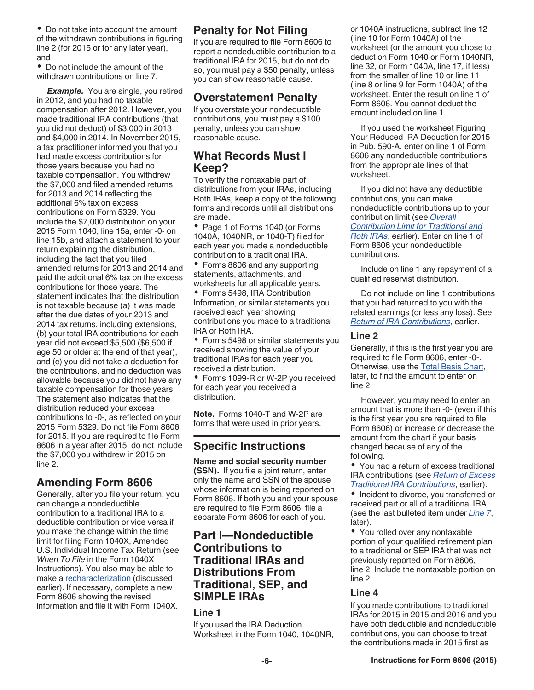<span id="page-5-0"></span>Do not take into account the amount of the withdrawn contributions in figuring line 2 (for 2015 or for any later year), and

Do not include the amount of the withdrawn contributions on line 7.

**Example.** You are single, you retired in 2012, and you had no taxable compensation after 2012. However, you made traditional IRA contributions (that you did not deduct) of \$3,000 in 2013 and \$4,000 in 2014. In November 2015, a tax practitioner informed you that you had made excess contributions for those years because you had no taxable compensation. You withdrew the \$7,000 and filed amended returns for 2013 and 2014 reflecting the additional 6% tax on excess contributions on Form 5329. You include the \$7,000 distribution on your 2015 Form 1040, line 15a, enter -0- on line 15b, and attach a statement to your return explaining the distribution, including the fact that you filed amended returns for 2013 and 2014 and paid the additional 6% tax on the excess contributions for those years. The statement indicates that the distribution is not taxable because (a) it was made after the due dates of your 2013 and 2014 tax returns, including extensions, (b) your total IRA contributions for each year did not exceed \$5,500 (\$6,500 if age 50 or older at the end of that year), and (c) you did not take a deduction for the contributions, and no deduction was allowable because you did not have any taxable compensation for those years. The statement also indicates that the distribution reduced your excess contributions to -0-, as reflected on your 2015 Form 5329. Do not file Form 8606 for 2015. If you are required to file Form 8606 in a year after 2015, do not include the \$7,000 you withdrew in 2015 on line 2.

## **Amending Form 8606**

Generally, after you file your return, you can change a nondeductible contribution to a traditional IRA to a deductible contribution or vice versa if you make the change within the time limit for filing Form 1040X, Amended U.S. Individual Income Tax Return (see *When To File* in the Form 1040X Instructions). You also may be able to make a [recharacterization](#page-2-0) (discussed earlier). If necessary, complete a new Form 8606 showing the revised information and file it with Form 1040X.

## **Penalty for Not Filing**

If you are required to file Form 8606 to report a nondeductible contribution to a traditional IRA for 2015, but do not do so, you must pay a \$50 penalty, unless you can show reasonable cause.

## **Overstatement Penalty**

If you overstate your nondeductible contributions, you must pay a \$100 penalty, unless you can show reasonable cause.

## **What Records Must I Keep?**

To verify the nontaxable part of distributions from your IRAs, including Roth IRAs, keep a copy of the following forms and records until all distributions are made.

• Page 1 of Forms 1040 (or Forms 1040A, 1040NR, or 1040-T) filed for each year you made a nondeductible contribution to a traditional IRA.

• Forms 8606 and any supporting statements, attachments, and worksheets for all applicable years.

Forms 5498, IRA Contribution Information, or similar statements you received each year showing contributions you made to a traditional IRA or Roth IRA.

Forms 5498 or similar statements you received showing the value of your traditional IRAs for each year you received a distribution.

Forms 1099-R or W-2P you received for each year you received a distribution.

**Note.** Forms 1040-T and W-2P are forms that were used in prior years.

## **Specific Instructions**

**Name and social security number (SSN).** If you file a joint return, enter only the name and SSN of the spouse whose information is being reported on Form 8606. If both you and your spouse are required to file Form 8606, file a separate Form 8606 for each of you.

## **Part I—Nondeductible Contributions to Traditional IRAs and Distributions From Traditional, SEP, and SIMPLE IRAs**

#### **Line 1**

If you used the IRA Deduction Worksheet in the Form 1040, 1040NR, or 1040A instructions, subtract line 12 (line 10 for Form 1040A) of the worksheet (or the amount you chose to deduct on Form 1040 or Form 1040NR, line 32, or Form 1040A, line 17, if less) from the smaller of line 10 or line 11 (line 8 or line 9 for Form 1040A) of the worksheet. Enter the result on line 1 of Form 8606. You cannot deduct the amount included on line 1.

If you used the worksheet Figuring Your Reduced IRA Deduction for 2015 in Pub. 590-A, enter on line 1 of Form 8606 any nondeductible contributions from the appropriate lines of that worksheet.

If you did not have any deductible contributions, you can make nondeductible contributions up to your contribution limit (see *[Overall](#page-1-0) [Contribution Limit for Traditional and](#page-1-0) [Roth IRAs](#page-1-0)*, earlier). Enter on line 1 of Form 8606 your nondeductible contributions.

Include on line 1 any repayment of a qualified reservist distribution.

Do not include on line 1 contributions that you had returned to you with the related earnings (or less any loss). See *[Return of IRA Contributions](#page-4-0)*, earlier.

#### **Line 2**

Generally, if this is the first year you are required to file Form 8606, enter -0-. Otherwise, use the [Total Basis Chart](#page-6-0), later, to find the amount to enter on line 2.

However, you may need to enter an amount that is more than -0- (even if this is the first year you are required to file Form 8606) or increase or decrease the amount from the chart if your basis changed because of any of the following.

You had a return of excess traditional IRA contributions (see *[Return of Excess](#page-4-0) [Traditional IRA Contributions](#page-4-0)*, earlier).

• Incident to divorce, you transferred or received part or all of a traditional IRA (see the last bulleted item under *[Line 7](#page-6-0)*, later).

You rolled over any nontaxable portion of your qualified retirement plan to a traditional or SEP IRA that was not previously reported on Form 8606, line 2. Include the nontaxable portion on line 2.

#### **Line 4**

If you made contributions to traditional IRAs for 2015 in 2015 and 2016 and you have both deductible and nondeductible contributions, you can choose to treat the contributions made in 2015 first as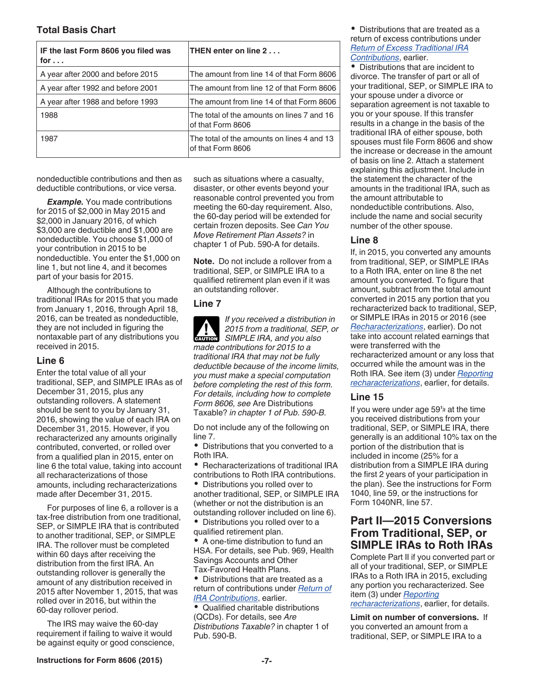<span id="page-6-0"></span>

| IF the last Form 8606 you filed was<br>for $\ldots$ | THEN enter on line 2                                            |
|-----------------------------------------------------|-----------------------------------------------------------------|
| A year after 2000 and before 2015                   | The amount from line 14 of that Form 8606                       |
| A year after 1992 and before 2001                   | The amount from line 12 of that Form 8606                       |
| A year after 1988 and before 1993                   | The amount from line 14 of that Form 8606                       |
| 1988                                                | The total of the amounts on lines 7 and 16<br>of that Form 8606 |
| 1987                                                | The total of the amounts on lines 4 and 13<br>of that Form 8606 |

nondeductible contributions and then as deductible contributions, or vice versa.

*Example.* You made contributions for 2015 of \$2,000 in May 2015 and \$2,000 in January 2016, of which \$3,000 are deductible and \$1,000 are nondeductible. You choose \$1,000 of your contribution in 2015 to be nondeductible. You enter the \$1,000 on line 1, but not line 4, and it becomes part of your basis for 2015.

Although the contributions to traditional IRAs for 2015 that you made from January 1, 2016, through April 18, 2016, can be treated as nondeductible, they are not included in figuring the nontaxable part of any distributions you received in 2015.

#### **Line 6**

Enter the total value of all your traditional, SEP, and SIMPLE IRAs as of December 31, 2015, plus any outstanding rollovers. A statement should be sent to you by January 31, 2016, showing the value of each IRA on December 31, 2015. However, if you recharacterized any amounts originally contributed, converted, or rolled over from a qualified plan in 2015, enter on line 6 the total value, taking into account all recharacterizations of those amounts, including recharacterizations made after December 31, 2015.

For purposes of line 6, a rollover is a tax-free distribution from one traditional, SEP, or SIMPLE IRA that is contributed to another traditional, SEP, or SIMPLE IRA. The rollover must be completed within 60 days after receiving the distribution from the first IRA. An outstanding rollover is generally the amount of any distribution received in 2015 after November 1, 2015, that was rolled over in 2016, but within the 60-day rollover period.

The IRS may waive the 60-day requirement if failing to waive it would be against equity or good conscience, such as situations where a casualty, disaster, or other events beyond your reasonable control prevented you from meeting the 60-day requirement. Also, the 60-day period will be extended for certain frozen deposits. See *Can You Move Retirement Plan Assets?* in chapter 1 of Pub. 590-A for details.

**Note.** Do not include a rollover from a traditional, SEP, or SIMPLE IRA to a qualified retirement plan even if it was an outstanding rollover.

#### **Line 7**

*If you received a distribution in 2015 from a traditional, SEP, or*  **CAUTION** 2015 from a traditional, SEN SIMPLE IRA, and you also *made contributions for 2015 to a traditional IRA that may not be fully deductible because of the income limits, you must make a special computation before completing the rest of this form. For details, including how to complete Form 8606, see* Are Distributions Taxable? *in chapter 1 of Pub. 590-B.*

Do not include any of the following on line 7.

 $\bullet$ Distributions that you converted to a Roth IRA.

Recharacterizations of traditional IRA contributions to Roth IRA contributions.

Distributions you rolled over to another traditional, SEP, or SIMPLE IRA (whether or not the distribution is an outstanding rollover included on line 6).

Distributions you rolled over to a qualified retirement plan.

A one-time distribution to fund an HSA. For details, see Pub. 969, Health Savings Accounts and Other Tax-Favored Health Plans.

Distributions that are treated as a return of contributions under *[Return of](#page-4-0) [IRA Contributions](#page-4-0)*, earlier.

Qualified charitable distributions (QCDs). For details, see *Are Distributions Taxable?* in chapter 1 of Pub. 590-B.

Distributions that are treated as a return of excess contributions under *[Return of Excess Traditional IRA](#page-4-0)  [Contributions](#page-4-0)*, earlier.

Distributions that are incident to divorce. The transfer of part or all of your traditional, SEP, or SIMPLE IRA to your spouse under a divorce or separation agreement is not taxable to you or your spouse. If this transfer results in a change in the basis of the traditional IRA of either spouse, both spouses must file Form 8606 and show the increase or decrease in the amount of basis on line 2. Attach a statement explaining this adjustment. Include in the statement the character of the amounts in the traditional IRA, such as the amount attributable to nondeductible contributions. Also, include the name and social security number of the other spouse.

#### **Line 8**

If, in 2015, you converted any amounts from traditional, SEP, or SIMPLE IRAs to a Roth IRA, enter on line 8 the net amount you converted. To figure that amount, subtract from the total amount converted in 2015 any portion that you recharacterized back to traditional, SEP, or SIMPLE IRAs in 2015 or 2016 (see *[Recharacterizations](#page-2-0)*, earlier). Do not take into account related earnings that were transferred with the recharacterized amount or any loss that occurred while the amount was in the Roth IRA. See item (3) under *[Reporting](#page-2-0)  [recharacterizations](#page-2-0)*, earlier, for details.

#### **Line 15**

If you were under age 59**<sup>1</sup> <sup>2</sup>** at the time you received distributions from your traditional, SEP, or SIMPLE IRA, there generally is an additional 10% tax on the portion of the distribution that is included in income (25% for a distribution from a SIMPLE IRA during the first 2 years of your participation in the plan). See the instructions for Form 1040, line 59, or the instructions for Form 1040NR, line 57.

## **Part II—2015 Conversions From Traditional, SEP, or SIMPLE IRAs to Roth IRAs**

Complete Part II if you converted part or all of your traditional, SEP, or SIMPLE IRAs to a Roth IRA in 2015, excluding any portion you recharacterized. See item (3) under *[Reporting](#page-2-0)  [recharacterizations](#page-2-0)*, earlier, for details.

**Limit on number of conversions.** If you converted an amount from a traditional, SEP, or SIMPLE IRA to a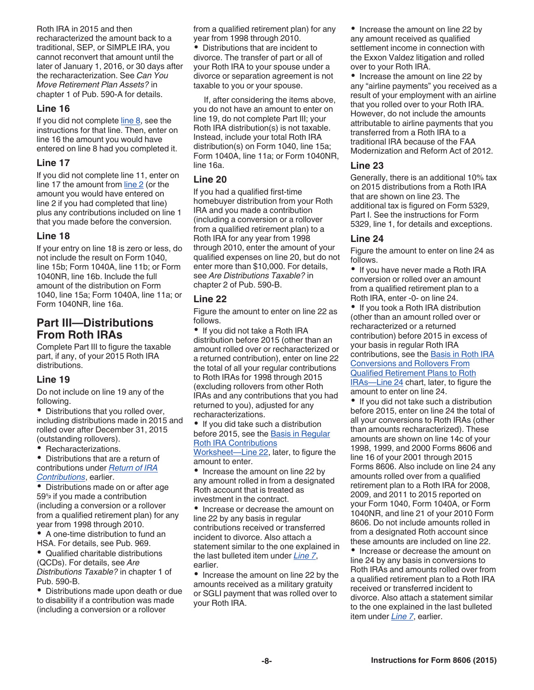<span id="page-7-0"></span>Roth IRA in 2015 and then recharacterized the amount back to a traditional, SEP, or SIMPLE IRA, you cannot reconvert that amount until the later of January 1, 2016, or 30 days after the recharacterization. See *Can You Move Retirement Plan Assets?* in chapter 1 of Pub. 590-A for details.

#### **Line 16**

If you did not complete [line 8,](#page-6-0) see the instructions for that line. Then, enter on line 16 the amount you would have entered on line 8 had you completed it.

#### **Line 17**

If you did not complete line 11, enter on line 17 the amount from [line 2](#page-5-0) (or the amount you would have entered on line 2 if you had completed that line) plus any contributions included on line 1 that you made before the conversion.

#### **Line 18**

If your entry on line 18 is zero or less, do not include the result on Form 1040, line 15b; Form 1040A, line 11b; or Form 1040NR, line 16b. Include the full amount of the distribution on Form 1040, line 15a; Form 1040A, line 11a; or Form 1040NR, line 16a.

## **Part III—Distributions From Roth IRAs**

Complete Part III to figure the taxable part, if any, of your 2015 Roth IRA distributions.

#### **Line 19**

Do not include on line 19 any of the following.

Distributions that you rolled over, including distributions made in 2015 and rolled over after December 31, 2015 (outstanding rollovers).

• Recharacterizations.

Distributions that are a return of contributions under *[Return of IRA](#page-4-0) [Contributions](#page-4-0)*, earlier.

Distributions made on or after age **<sup>2</sup>** if you made a contribution (including a conversion or a rollover from a qualified retirement plan) for any year from 1998 through 2010.

A one-time distribution to fund an HSA. For details, see Pub. 969.

• Qualified charitable distributions (QCDs). For details, see *Are Distributions Taxable?* in chapter 1 of Pub. 590-B.

Distributions made upon death or due to disability if a contribution was made (including a conversion or a rollover

from a qualified retirement plan) for any year from 1998 through 2010.

Distributions that are incident to divorce. The transfer of part or all of your Roth IRA to your spouse under a divorce or separation agreement is not taxable to you or your spouse.

If, after considering the items above, you do not have an amount to enter on line 19, do not complete Part III; your Roth IRA distribution(s) is not taxable. Instead, include your total Roth IRA distribution(s) on Form 1040, line 15a; Form 1040A, line 11a; or Form 1040NR, line 16a.

### **Line 20**

If you had a qualified first-time homebuyer distribution from your Roth IRA and you made a contribution (including a conversion or a rollover from a qualified retirement plan) to a Roth IRA for any year from 1998 through 2010, enter the amount of your qualified expenses on line 20, but do not enter more than \$10,000. For details, see *Are Distributions Taxable?* in chapter 2 of Pub. 590-B.

#### **Line 22**

Figure the amount to enter on line 22 as follows.

• If you did not take a Roth IRA distribution before 2015 (other than an amount rolled over or recharacterized or a returned contribution), enter on line 22 the total of all your regular contributions to Roth IRAs for 1998 through 2015 (excluding rollovers from other Roth IRAs and any contributions that you had returned to you), adjusted for any recharacterizations.

• If you did take such a distribution before 2015, see the [Basis in Regular](#page-9-0)  [Roth IRA Contributions](#page-9-0)

[Worksheet—Line 22,](#page-9-0) later, to figure the amount to enter.

• Increase the amount on line 22 by any amount rolled in from a designated Roth account that is treated as investment in the contract.

• Increase or decrease the amount on line 22 by any basis in regular contributions received or transferred incident to divorce. Also attach a statement similar to the one explained in the last bulleted item under *[Line 7](#page-6-0)*, earlier.

• Increase the amount on line 22 by the amounts received as a military gratuity or SGLI payment that was rolled over to your Roth IRA.

• Increase the amount on line 22 by any amount received as qualified settlement income in connection with the Exxon Valdez litigation and rolled over to your Roth IRA.

• Increase the amount on line 22 by any "airline payments" you received as a result of your employment with an airline that you rolled over to your Roth IRA. However, do not include the amounts attributable to airline payments that you transferred from a Roth IRA to a traditional IRA because of the FAA Modernization and Reform Act of 2012.

#### **Line 23**

Generally, there is an additional 10% tax on 2015 distributions from a Roth IRA that are shown on line 23. The additional tax is figured on Form 5329, Part I. See the instructions for Form 5329, line 1, for details and exceptions.

#### **Line 24**

Figure the amount to enter on line 24 as follows.

• If you have never made a Roth IRA conversion or rolled over an amount from a qualified retirement plan to a Roth IRA, enter -0- on line 24.

• If you took a Roth IRA distribution (other than an amount rolled over or recharacterized or a returned contribution) before 2015 in excess of your basis in regular Roth IRA contributions, see the [Basis in Roth IRA](#page-10-0)  [Conversions and Rollovers From](#page-10-0)  [Qualified Retirement Plans to Roth](#page-10-0) IRAs-Line 24 chart, later, to figure the amount to enter on line 24.

 $59\frac{1}{2}$  if you made a contribution  $\frac{1}{2}$  investment in the contract  $\frac{1}{2}$  2009, and 2011 to 2015 reported on If you did not take such a distribution before 2015, enter on line 24 the total of all your conversions to Roth IRAs (other than amounts recharacterized). These amounts are shown on line 14c of your 1998, 1999, and 2000 Forms 8606 and line 16 of your 2001 through 2015 Forms 8606. Also include on line 24 any amounts rolled over from a qualified retirement plan to a Roth IRA for 2008, 2009, and 2011 to 2015 reported on your Form 1040, Form 1040A, or Form 1040NR, and line 21 of your 2010 Form 8606. Do not include amounts rolled in from a designated Roth account since these amounts are included on line 22. • Increase or decrease the amount on

line 24 by any basis in conversions to Roth IRAs and amounts rolled over from a qualified retirement plan to a Roth IRA received or transferred incident to divorce. Also attach a statement similar to the one explained in the last bulleted item under *[Line 7](#page-6-0)*, earlier.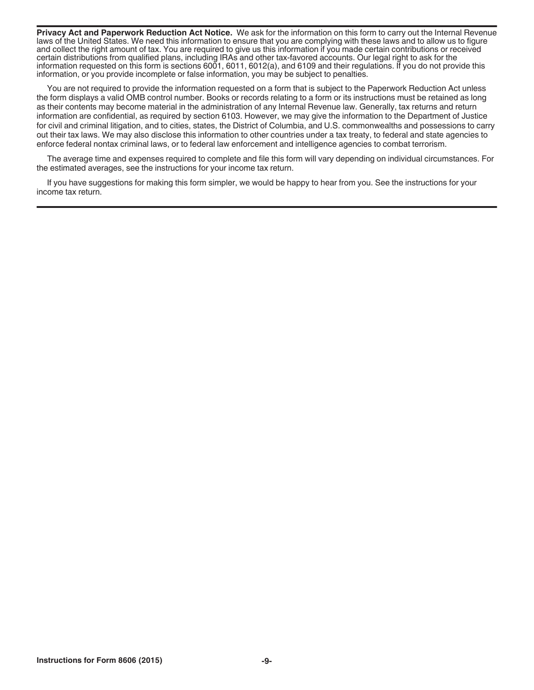**Privacy Act and Paperwork Reduction Act Notice.** We ask for the information on this form to carry out the Internal Revenue laws of the United States. We need this information to ensure that you are complying with these laws and to allow us to figure and collect the right amount of tax. You are required to give us this information if you made certain contributions or received certain distributions from qualified plans, including IRAs and other tax-favored accounts. Our legal right to ask for the information requested on this form is sections 6001, 6011, 6012(a), and 6109 and their regulations. If you do not provide this information, or you provide incomplete or false information, you may be subject to penalties.

You are not required to provide the information requested on a form that is subject to the Paperwork Reduction Act unless the form displays a valid OMB control number. Books or records relating to a form or its instructions must be retained as long as their contents may become material in the administration of any Internal Revenue law. Generally, tax returns and return information are confidential, as required by section 6103. However, we may give the information to the Department of Justice for civil and criminal litigation, and to cities, states, the District of Columbia, and U.S. commonwealths and possessions to carry out their tax laws. We may also disclose this information to other countries under a tax treaty, to federal and state agencies to enforce federal nontax criminal laws, or to federal law enforcement and intelligence agencies to combat terrorism.

The average time and expenses required to complete and file this form will vary depending on individual circumstances. For the estimated averages, see the instructions for your income tax return.

If you have suggestions for making this form simpler, we would be happy to hear from you. See the instructions for your income tax return.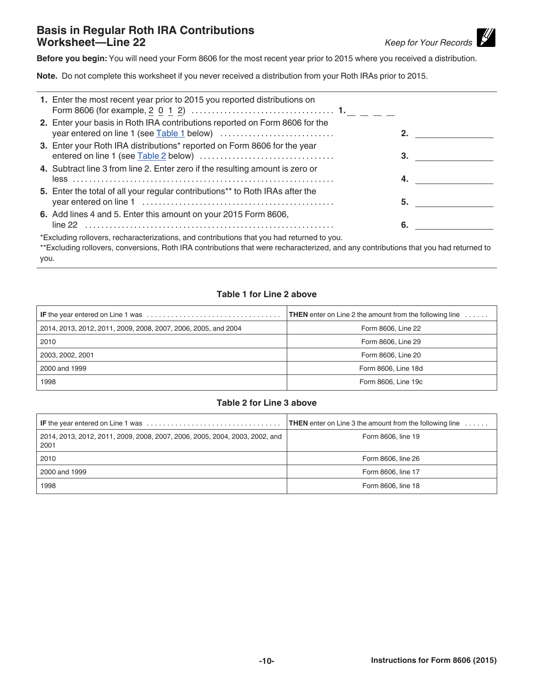## <span id="page-9-0"></span>**Basis in Regular Roth IRA Contributions Worksheet—Line 22** *Keep for Your Records*

 $\mathscr{U}$ 

**Before you begin:** You will need your Form 8606 for the most recent year prior to 2015 where you received a distribution.

**Note.** Do not complete this worksheet if you never received a distribution from your Roth IRAs prior to 2015.

| 1. Enter the most recent year prior to 2015 you reported distributions on                  |    |  |
|--------------------------------------------------------------------------------------------|----|--|
| 2. Enter your basis in Roth IRA contributions reported on Form 8606 for the                |    |  |
| 3. Enter your Roth IRA distributions* reported on Form 8606 for the year                   | 3. |  |
| 4. Subtract line 3 from line 2. Enter zero if the resulting amount is zero or              | 4. |  |
| 5. Enter the total of all your regular contributions** to Roth IRAs after the              | 5. |  |
| 6. Add lines 4 and 5. Enter this amount on your 2015 Form 8606,                            | 6. |  |
| *Excluding rollovers, recharacterizations, and contributions that you had returned to you. |    |  |

\*\*Excluding rollovers, conversions, Roth IRA contributions that were recharacterized, and any contributions that you had returned to you.

#### **Table 1 for Line 2 above**

|                                                                | <b>THEN</b> enter on Line 2 the amount from the following line $\dots$ |
|----------------------------------------------------------------|------------------------------------------------------------------------|
| 2014, 2013, 2012, 2011, 2009, 2008, 2007, 2006, 2005, and 2004 | Form 8606, Line 22                                                     |
| 2010                                                           | Form 8606, Line 29                                                     |
| 2003, 2002, 2001                                               | Form 8606, Line 20                                                     |
| 2000 and 1999                                                  | Form 8606, Line 18d                                                    |
| 1998                                                           | Form 8606, Line 19c                                                    |

#### **Table 2 for Line 3 above**

| <b>IF</b> the year entered on Line 1 was $\ldots \ldots \ldots \ldots \ldots \ldots \ldots \ldots \ldots \ldots \ldots$ | <b>THEN</b> enter on Line 3 the amount from the following line $\dots$ |
|-------------------------------------------------------------------------------------------------------------------------|------------------------------------------------------------------------|
| 2014, 2013, 2012, 2011, 2009, 2008, 2007, 2006, 2005, 2004, 2003, 2002, and<br>  2001                                   | Form 8606, line 19                                                     |
| 2010                                                                                                                    | Form 8606, line 26                                                     |
| 2000 and 1999                                                                                                           | Form 8606, line 17                                                     |
| 1998                                                                                                                    | Form 8606, line 18                                                     |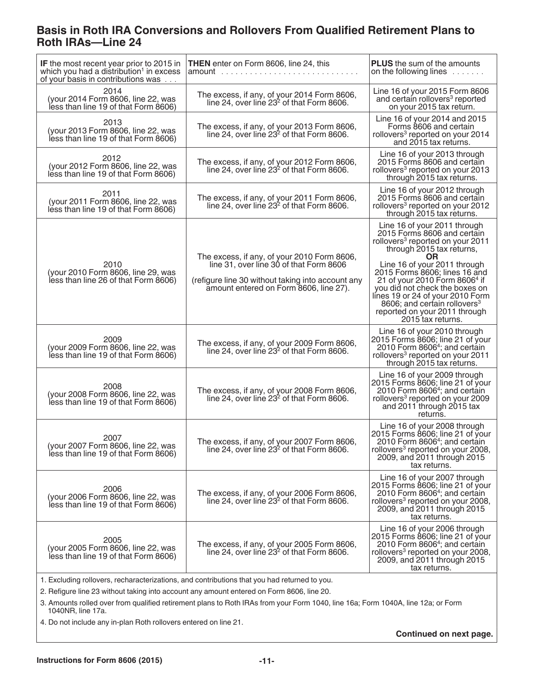## <span id="page-10-0"></span>**Basis in Roth IRA Conversions and Rollovers From Qualified Retirement Plans to Roth IRAs—Line 24**

| IF the most recent year prior to 2015 in<br>which you had a distribution <sup>1</sup> in excess<br>of your basis in contributions was | <b>THEN</b> enter on Form 8606, line 24, this                                                                                                                                         | <b>PLUS</b> the sum of the amounts<br>on the following lines $\ldots \ldots$                                                                                                                                                                                           |
|---------------------------------------------------------------------------------------------------------------------------------------|---------------------------------------------------------------------------------------------------------------------------------------------------------------------------------------|------------------------------------------------------------------------------------------------------------------------------------------------------------------------------------------------------------------------------------------------------------------------|
| 2014<br>(your 2014 Form 8606, line 22, was<br>less than line 19 of that Form 8606)                                                    | The excess, if any, of your 2014 Form 8606,<br>line 24, over line 23 <sup>2</sup> of that Form 8606.                                                                                  | Line 16 of your 2015 Form 8606<br>and certain rollovers <sup>3</sup> reported<br>on your 2015 tax return.                                                                                                                                                              |
| 2013<br>(your 2013 Form 8606, line 22, was<br>less than line 19 of that Form 8606)                                                    | The excess, if any, of your 2013 Form 8606,<br>line 24, over line 23 <sup>2</sup> of that Form 8606.                                                                                  | Line 16 of your 2014 and 2015<br>Forms 8606 and certain<br>rollovers <sup>3</sup> reported on your 2014<br>and 2015 tax returns.                                                                                                                                       |
| 2012<br>(your 2012 Form 8606, line 22, was<br>less than line 19 of that Form 8606)                                                    | The excess, if any, of your 2012 Form 8606,<br>line 24, over line 23 <sup>2</sup> of that Form 8606.                                                                                  | Line 16 of your 2013 through<br>2015 Forms 8606 and certain<br>rollovers <sup>3</sup> reported on your 2013<br>through 2015 tax returns.                                                                                                                               |
| 2011<br>(your 2011 Form 8606, line 22, was<br>less than line 19 of that Form 8606)                                                    | The excess, if any, of your 2011 Form 8606,<br>line 24, over line 23 <sup>2</sup> of that Form 8606.                                                                                  | Line 16 of your 2012 through<br>2015 Forms 8606 and certain<br>rollovers <sup>3</sup> reported on your 2012<br>through 2015 tax returns.                                                                                                                               |
|                                                                                                                                       | The excess, if any, of your 2010 Form 8606,<br>line 31, over line 30 of that Form 8606<br>(refigure line 30 without taking into account any<br>amount entered on Form 8606, line 27). | Line 16 of your 2011 through<br>2015 Forms 8606 and certain<br>rollovers <sup>3</sup> reported on your 2011<br>through 2015 tax returns,<br><b>OR</b>                                                                                                                  |
| 2010<br>(your 2010 Form 8606, line 29, was<br>less than line 26 of that Form 8606)                                                    |                                                                                                                                                                                       | Line 16 of your 2011 through<br>2015 Forms 8606; lines 16 and<br>21 of your 2010 Form 86064 if<br>you did not check the boxes on<br>lines 19 or 24 of your 2010 Form<br>8606; and certain rollovers <sup>3</sup><br>reported on your 2011 through<br>2015 tax returns. |
| 2009<br>(your 2009 Form 8606, line 22, was<br>less than line 19 of that Form 8606)                                                    | The excess, if any, of your 2009 Form 8606,<br>line 24, over line $232$ of that Form 8606.                                                                                            | Line 16 of your 2010 through<br>2015 Forms 8606; line 21 of your<br>2010 Form $86064$ ; and certain<br>rollovers <sup>3</sup> reported on your 2011<br>through 2015 tax returns.                                                                                       |
| 2008<br>(your 2008 Form 8606, line 22, was<br>less than line 19 of that Form 8606)                                                    | The excess, if any, of your 2008 Form 8606,<br>line 24, over line 23 <sup>2</sup> of that Form 8606.                                                                                  | Line 16 of your 2009 through<br>2015 Forms 8606; line 21 of your<br>2010 Form 8606 <sup>4</sup> ; and certain<br>rollovers <sup>3</sup> reported on your 2009<br>and 2011 through 2015 tax<br>returns.                                                                 |
| 2007<br>(your 2007 Form 8606, line 22, was<br>less than line 19 of that Form 8606)                                                    | The excess, if any, of your 2007 Form 8606,<br>line 24, over line 23 <sup>2</sup> of that Form 8606.                                                                                  | Line 16 of your 2008 through<br>2015 Forms 8606; line 21 of your<br>2010 Form 8606 <sup>4</sup> ; and certain<br>rollovers <sup>3</sup> reported on your 2008,<br>2009, and 2011 through 2015<br>tax returns.                                                          |
| 2006<br>(your 2006 Form 8606, line 22, was<br>less than line 19 of that Form 8606)                                                    | The excess, if any, of your 2006 Form 8606,<br>line 24, over line 23 <sup>2</sup> of that Form 8606.                                                                                  | Line 16 of your 2007 through<br>2015 Forms 8606; line 21 of your<br>2010 Form 8606 <sup>4</sup> ; and certain<br>rollovers <sup>3</sup> reported on your 2008,<br>2009, and 2011 through 2015<br>tax returns.                                                          |
| 2005<br>(your 2005 Form 8606, line 22, was<br>less than line 19 of that Form 8606)                                                    | The excess, if any, of your 2005 Form 8606,<br>line 24, over line 23 <sup>2</sup> of that Form 8606.                                                                                  | Line 16 of your 2006 through<br>2015 Forms 8606; line 21 of your<br>2010 Form 8606 <sup>4</sup> ; and certain<br>rollovers <sup>3</sup> reported on your 2008,<br>2009, and 2011 through 2015<br>tax returns.                                                          |
| 1. Excluding rollovers, recharacterizations, and contributions that you had returned to you.                                          |                                                                                                                                                                                       |                                                                                                                                                                                                                                                                        |

2. Refigure line 23 without taking into account any amount entered on Form 8606, line 20.

3. Amounts rolled over from qualified retirement plans to Roth IRAs from your Form 1040, line 16a; Form 1040A, line 12a; or Form 1040NR, line 17a.

4. Do not include any in-plan Roth rollovers entered on line 21.

**Continued on next page.**